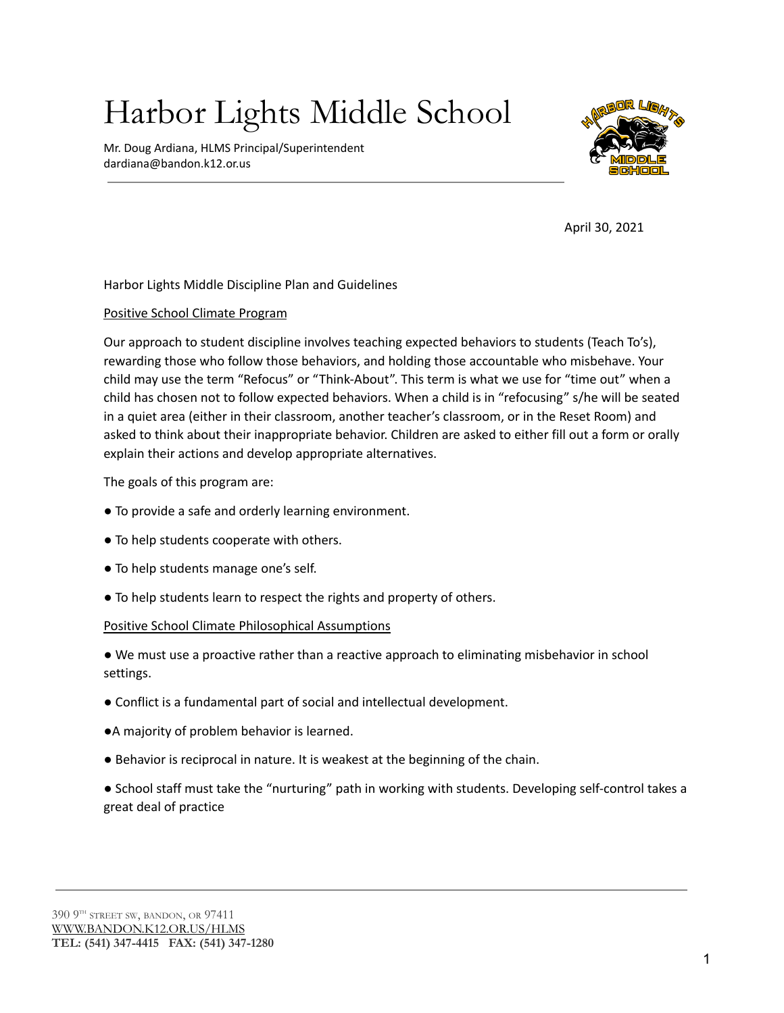# Harbor Lights Middle School

Mr. Doug Ardiana, HLMS Principal/Superintendent dardiana@bandon.k12.or.us



April 30, 2021

Harbor Lights Middle Discipline Plan and Guidelines

# Positive School Climate Program

Our approach to student discipline involves teaching expected behaviors to students (Teach To's), rewarding those who follow those behaviors, and holding those accountable who misbehave. Your child may use the term "Refocus" or "Think-About". This term is what we use for "time out" when a child has chosen not to follow expected behaviors. When a child is in "refocusing" s/he will be seated in a quiet area (either in their classroom, another teacher's classroom, or in the Reset Room) and asked to think about their inappropriate behavior. Children are asked to either fill out a form or orally explain their actions and develop appropriate alternatives.

The goals of this program are:

- To provide a safe and orderly learning environment.
- To help students cooperate with others.
- To help students manage one's self.
- To help students learn to respect the rights and property of others.

#### Positive School Climate Philosophical Assumptions

- We must use a proactive rather than a reactive approach to eliminating misbehavior in school settings.
- Conflict is a fundamental part of social and intellectual development.
- ●A majority of problem behavior is learned.
- Behavior is reciprocal in nature. It is weakest at the beginning of the chain.
- School staff must take the "nurturing" path in working with students. Developing self-control takes a great deal of practice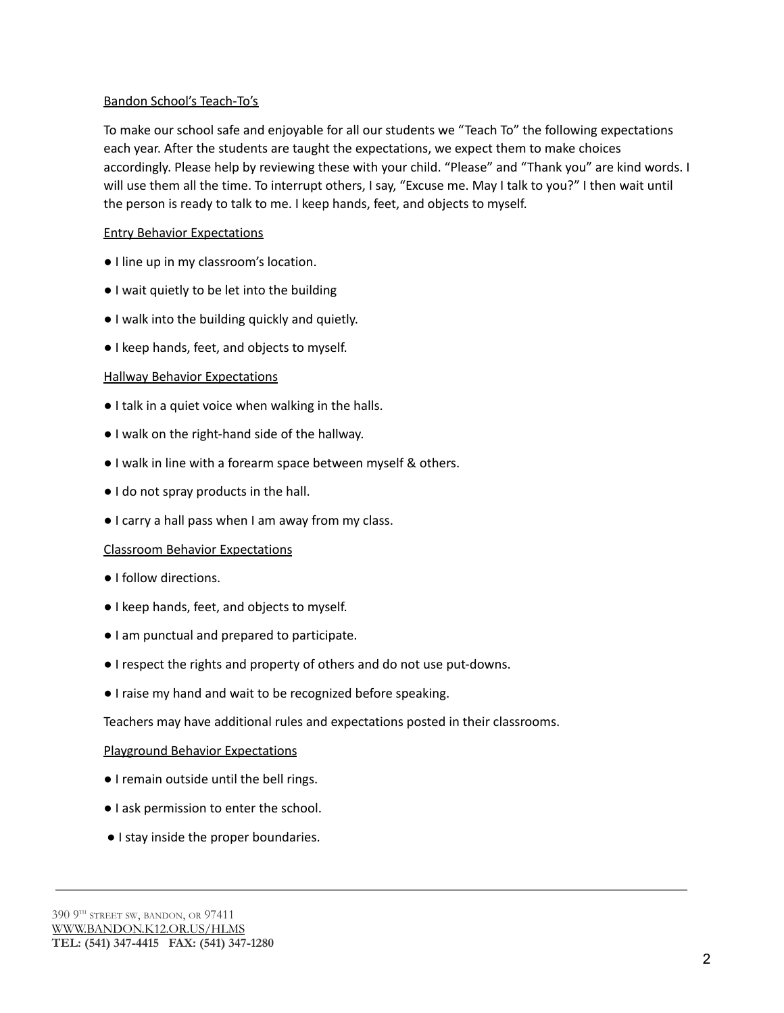# Bandon School's Teach-To's

To make our school safe and enjoyable for all our students we "Teach To" the following expectations each year. After the students are taught the expectations, we expect them to make choices accordingly. Please help by reviewing these with your child. "Please" and "Thank you" are kind words. I will use them all the time. To interrupt others, I say, "Excuse me. May I talk to you?" I then wait until the person is ready to talk to me. I keep hands, feet, and objects to myself.

# Entry Behavior Expectations

- I line up in my classroom's location.
- I wait quietly to be let into the building
- I walk into the building quickly and quietly.
- I keep hands, feet, and objects to myself.

# Hallway Behavior Expectations

- I talk in a quiet voice when walking in the halls.
- I walk on the right-hand side of the hallway.
- I walk in line with a forearm space between myself & others.
- I do not spray products in the hall.
- I carry a hall pass when I am away from my class.

#### Classroom Behavior Expectations

- I follow directions.
- I keep hands, feet, and objects to myself.
- I am punctual and prepared to participate.
- I respect the rights and property of others and do not use put-downs.
- I raise my hand and wait to be recognized before speaking.

Teachers may have additional rules and expectations posted in their classrooms.

#### Playground Behavior Expectations

- I remain outside until the bell rings.
- I ask permission to enter the school.
- I stay inside the proper boundaries.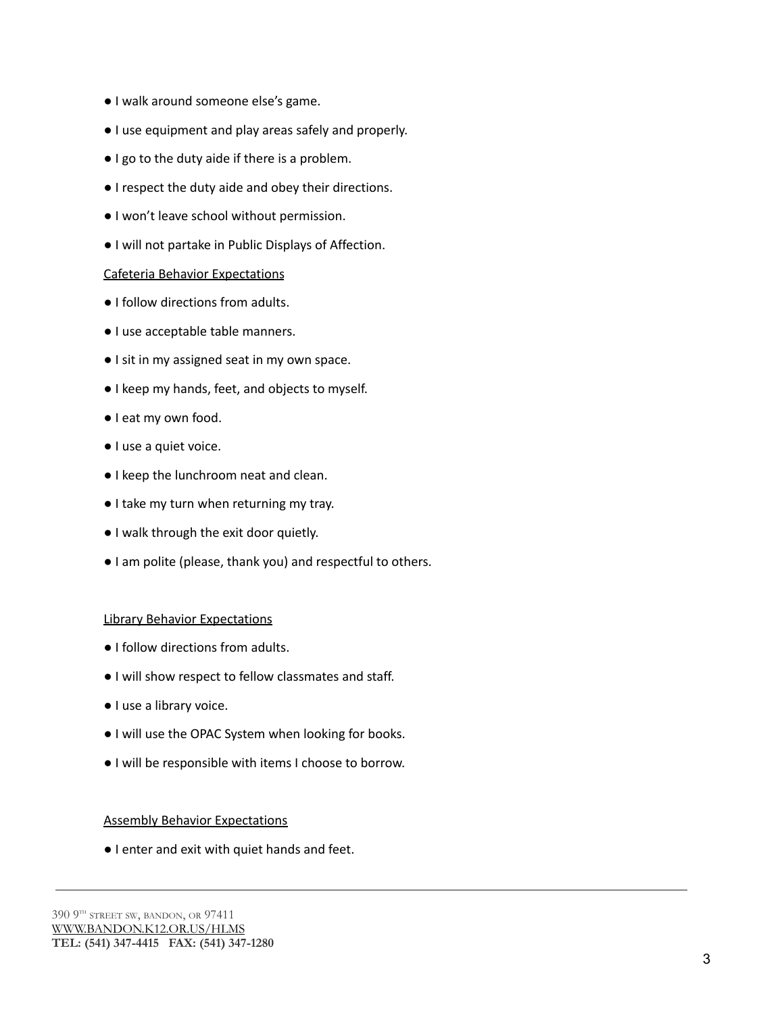- I walk around someone else's game.
- I use equipment and play areas safely and properly.
- I go to the duty aide if there is a problem.
- I respect the duty aide and obey their directions.
- I won't leave school without permission.
- I will not partake in Public Displays of Affection.

#### Cafeteria Behavior Expectations

- I follow directions from adults.
- I use acceptable table manners.
- I sit in my assigned seat in my own space.
- I keep my hands, feet, and objects to myself.
- I eat my own food.
- I use a quiet voice.
- I keep the lunchroom neat and clean.
- I take my turn when returning my tray.
- I walk through the exit door quietly.
- I am polite (please, thank you) and respectful to others.

#### Library Behavior Expectations

- I follow directions from adults.
- I will show respect to fellow classmates and staff.
- I use a library voice.
- I will use the OPAC System when looking for books.
- I will be responsible with items I choose to borrow.

#### Assembly Behavior Expectations

● I enter and exit with quiet hands and feet.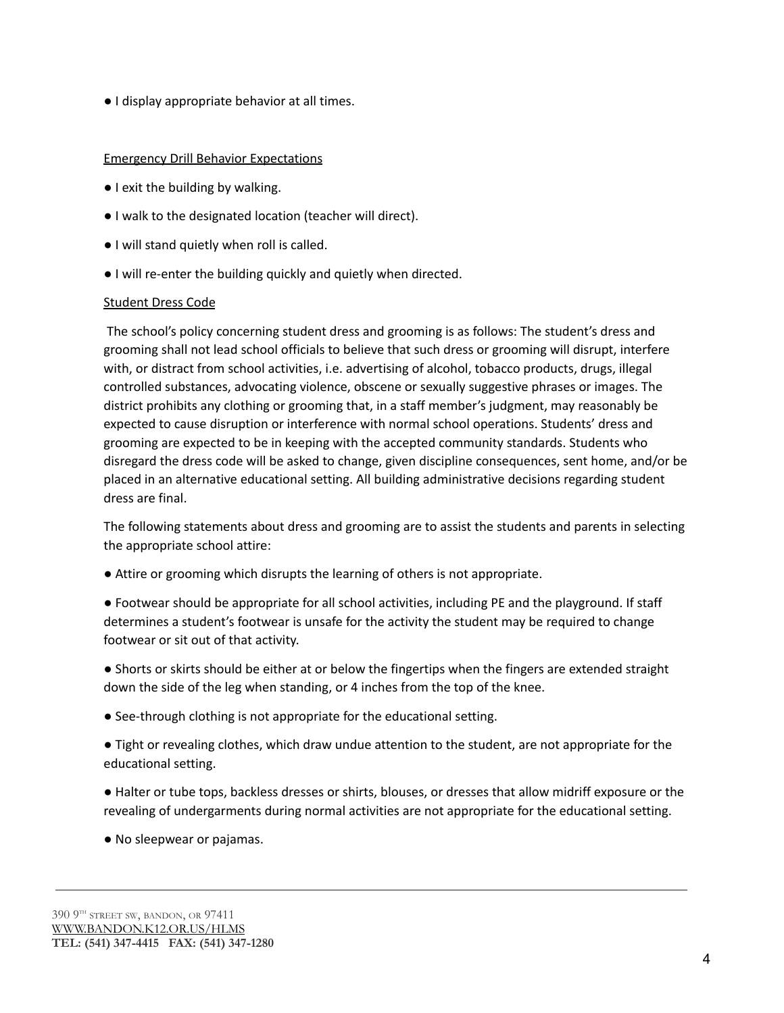● I display appropriate behavior at all times.

# Emergency Drill Behavior Expectations

- I exit the building by walking.
- I walk to the designated location (teacher will direct).
- I will stand quietly when roll is called.
- I will re-enter the building quickly and quietly when directed.

# Student Dress Code

The school's policy concerning student dress and grooming is as follows: The student's dress and grooming shall not lead school officials to believe that such dress or grooming will disrupt, interfere with, or distract from school activities, i.e. advertising of alcohol, tobacco products, drugs, illegal controlled substances, advocating violence, obscene or sexually suggestive phrases or images. The district prohibits any clothing or grooming that, in a staff member's judgment, may reasonably be expected to cause disruption or interference with normal school operations. Students' dress and grooming are expected to be in keeping with the accepted community standards. Students who disregard the dress code will be asked to change, given discipline consequences, sent home, and/or be placed in an alternative educational setting. All building administrative decisions regarding student dress are final.

The following statements about dress and grooming are to assist the students and parents in selecting the appropriate school attire:

- Attire or grooming which disrupts the learning of others is not appropriate.
- Footwear should be appropriate for all school activities, including PE and the playground. If staff determines a student's footwear is unsafe for the activity the student may be required to change footwear or sit out of that activity.
- Shorts or skirts should be either at or below the fingertips when the fingers are extended straight down the side of the leg when standing, or 4 inches from the top of the knee.
- See-through clothing is not appropriate for the educational setting.
- Tight or revealing clothes, which draw undue attention to the student, are not appropriate for the educational setting.
- Halter or tube tops, backless dresses or shirts, blouses, or dresses that allow midriff exposure or the revealing of undergarments during normal activities are not appropriate for the educational setting.
- No sleepwear or pajamas.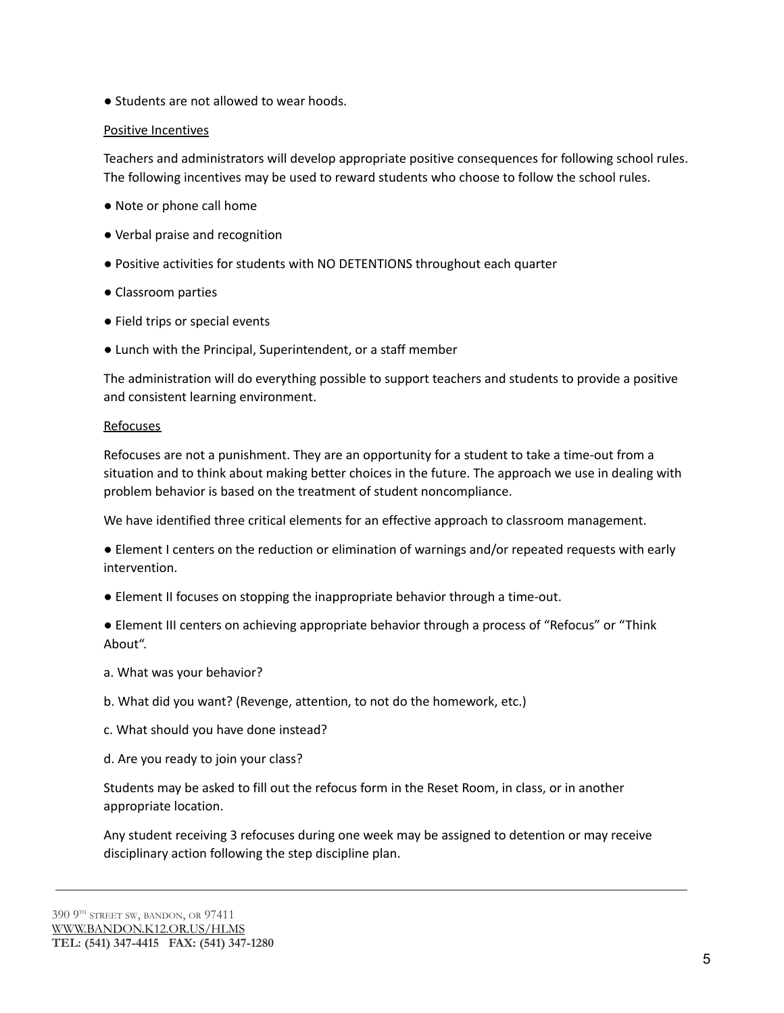● Students are not allowed to wear hoods.

# Positive Incentives

Teachers and administrators will develop appropriate positive consequences for following school rules. The following incentives may be used to reward students who choose to follow the school rules.

- Note or phone call home
- Verbal praise and recognition
- Positive activities for students with NO DETENTIONS throughout each quarter
- Classroom parties
- Field trips or special events
- Lunch with the Principal, Superintendent, or a staff member

The administration will do everything possible to support teachers and students to provide a positive and consistent learning environment.

#### **Refocuses**

Refocuses are not a punishment. They are an opportunity for a student to take a time-out from a situation and to think about making better choices in the future. The approach we use in dealing with problem behavior is based on the treatment of student noncompliance.

We have identified three critical elements for an effective approach to classroom management.

● Element I centers on the reduction or elimination of warnings and/or repeated requests with early intervention.

● Element II focuses on stopping the inappropriate behavior through a time-out.

● Element III centers on achieving appropriate behavior through a process of "Refocus" or "Think About".

- a. What was your behavior?
- b. What did you want? (Revenge, attention, to not do the homework, etc.)
- c. What should you have done instead?
- d. Are you ready to join your class?

Students may be asked to fill out the refocus form in the Reset Room, in class, or in another appropriate location.

Any student receiving 3 refocuses during one week may be assigned to detention or may receive disciplinary action following the step discipline plan.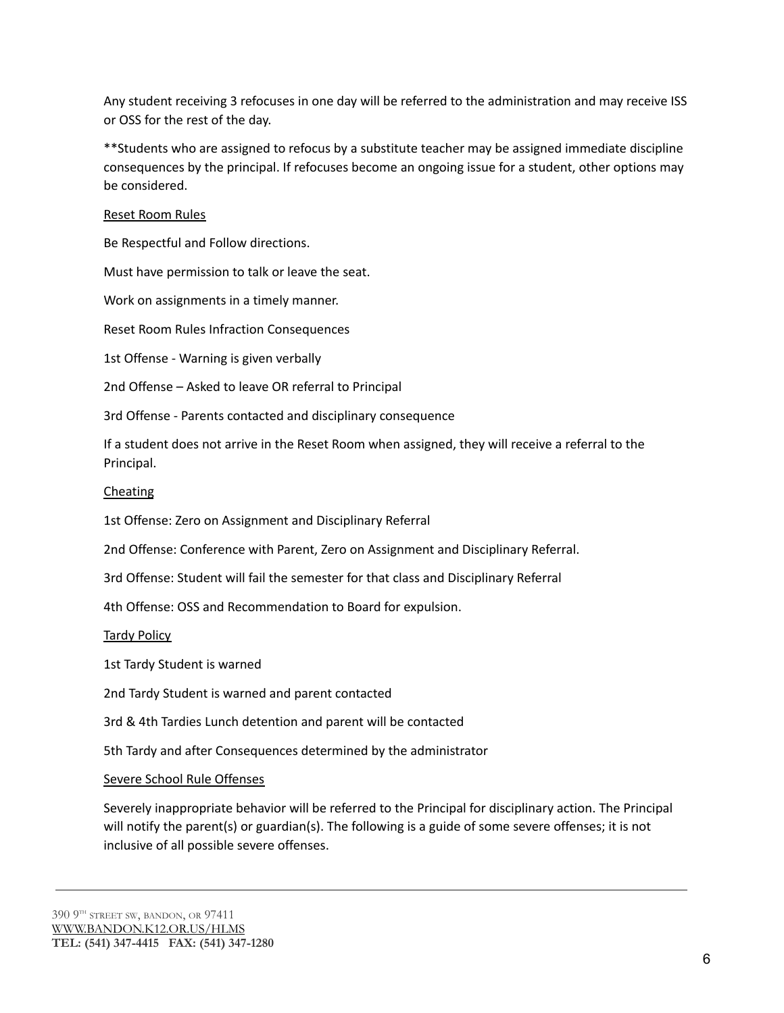Any student receiving 3 refocuses in one day will be referred to the administration and may receive ISS or OSS for the rest of the day.

\*\*Students who are assigned to refocus by a substitute teacher may be assigned immediate discipline consequences by the principal. If refocuses become an ongoing issue for a student, other options may be considered.

# Reset Room Rules

Be Respectful and Follow directions.

Must have permission to talk or leave the seat.

Work on assignments in a timely manner.

Reset Room Rules Infraction Consequences

1st Offense - Warning is given verbally

2nd Offense – Asked to leave OR referral to Principal

3rd Offense - Parents contacted and disciplinary consequence

If a student does not arrive in the Reset Room when assigned, they will receive a referral to the Principal.

#### **Cheating**

1st Offense: Zero on Assignment and Disciplinary Referral

2nd Offense: Conference with Parent, Zero on Assignment and Disciplinary Referral.

3rd Offense: Student will fail the semester for that class and Disciplinary Referral

4th Offense: OSS and Recommendation to Board for expulsion.

Tardy Policy

1st Tardy Student is warned

2nd Tardy Student is warned and parent contacted

3rd & 4th Tardies Lunch detention and parent will be contacted

5th Tardy and after Consequences determined by the administrator

#### Severe School Rule Offenses

Severely inappropriate behavior will be referred to the Principal for disciplinary action. The Principal will notify the parent(s) or guardian(s). The following is a guide of some severe offenses; it is not inclusive of all possible severe offenses.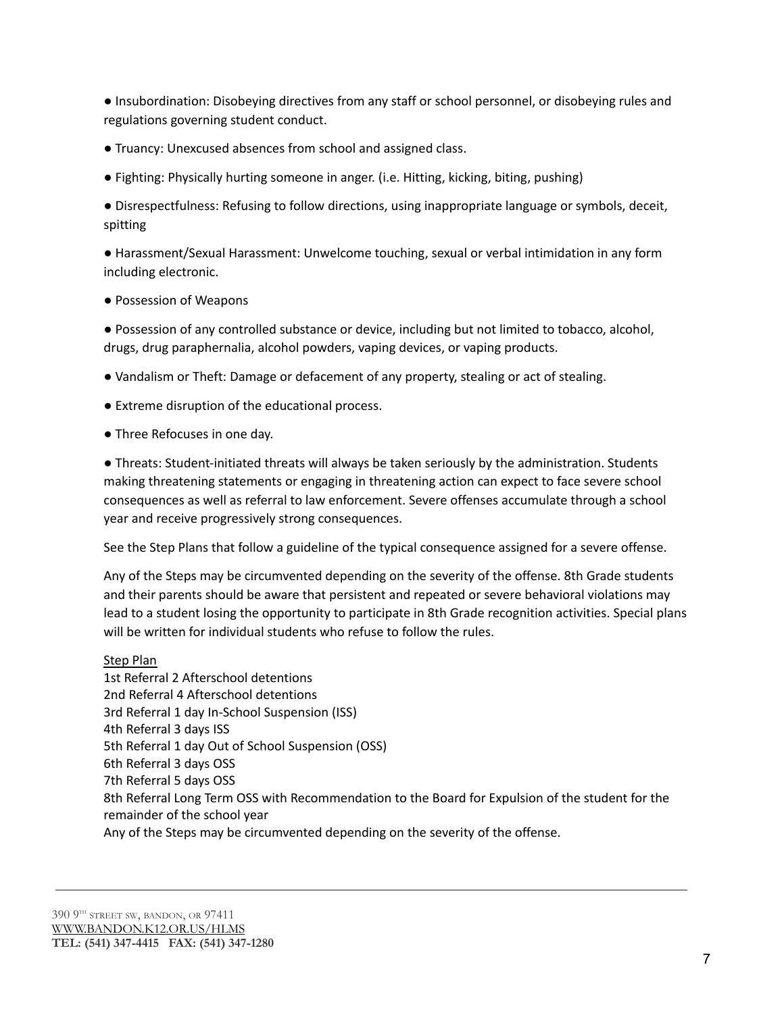● Insubordination: Disobeying directives from any staff or school personnel, or disobeying rules and regulations governing student conduct.

- Truancy: Unexcused absences from school and assigned class.
- Fighting: Physically hurting someone in anger. (i.e. Hitting, kicking, biting, pushing)

● Disrespectfulness: Refusing to follow directions, using inappropriate language or symbols, deceit, spitting

● Harassment/Sexual Harassment: Unwelcome touching, sexual or verbal intimidation in any form including electronic.

● Possession of Weapons

● Possession of any controlled substance or device, including but not limited to tobacco, alcohol, drugs, drug paraphernalia, alcohol powders, vaping devices, or vaping products.

- Vandalism or Theft: Damage or defacement of any property, stealing or act of stealing.
- Extreme disruption of the educational process.
- Three Refocuses in one day.

● Threats: Student-initiated threats will always be taken seriously by the administration. Students making threatening statements or engaging in threatening action can expect to face severe school consequences as well as referral to law enforcement. Severe offenses accumulate through a school year and receive progressively strong consequences.

See the Step Plans that follow a guideline of the typical consequence assigned for a severe offense.

Any of the Steps may be circumvented depending on the severity of the offense. 8th Grade students and their parents should be aware that persistent and repeated or severe behavioral violations may lead to a student losing the opportunity to participate in 8th Grade recognition activities. Special plans will be written for individual students who refuse to follow the rules.

#### Step Plan

1st Referral 2 Afterschool detentions 2nd Referral 4 Afterschool detentions 3rd Referral 1 day In-School Suspension (ISS) 4th Referral 3 days ISS 5th Referral 1 day Out of School Suspension (OSS) 6th Referral 3 days OSS 7th Referral 5 days OSS 8th Referral Long Term OSS with Recommendation to the Board for Expulsion of the student for the remainder of the school year Any of the Steps may be circumvented depending on the severity of the offense.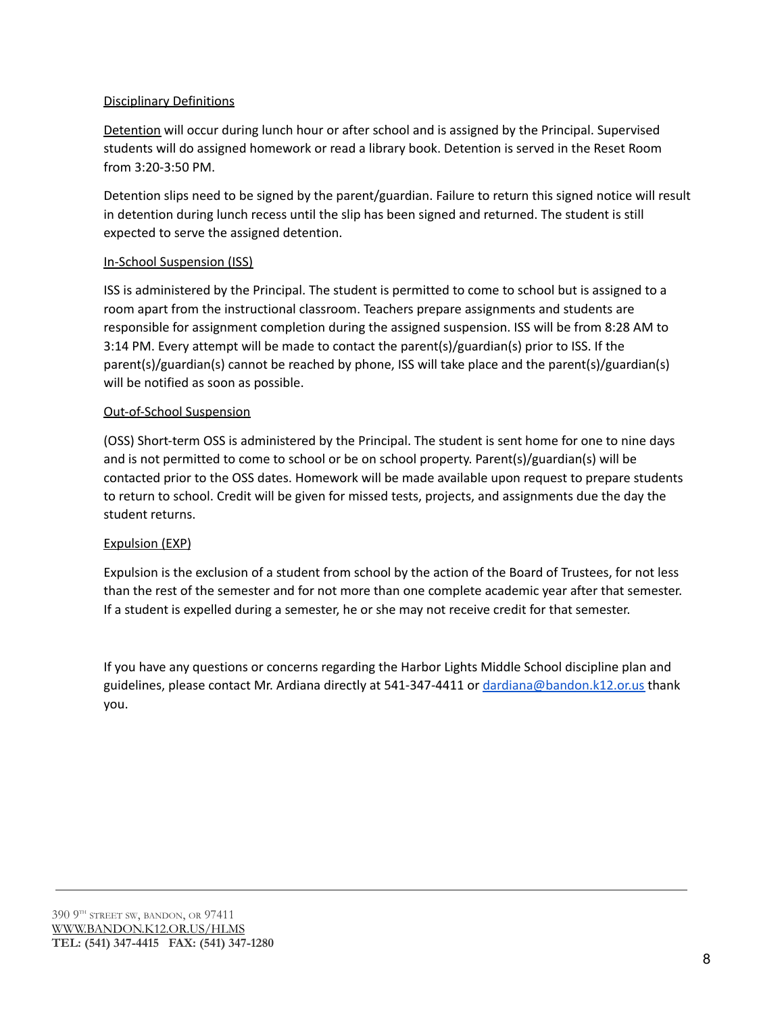# Disciplinary Definitions

Detention will occur during lunch hour or after school and is assigned by the Principal. Supervised students will do assigned homework or read a library book. Detention is served in the Reset Room from 3:20-3:50 PM.

Detention slips need to be signed by the parent/guardian. Failure to return this signed notice will result in detention during lunch recess until the slip has been signed and returned. The student is still expected to serve the assigned detention.

# In-School Suspension (ISS)

ISS is administered by the Principal. The student is permitted to come to school but is assigned to a room apart from the instructional classroom. Teachers prepare assignments and students are responsible for assignment completion during the assigned suspension. ISS will be from 8:28 AM to 3:14 PM. Every attempt will be made to contact the parent(s)/guardian(s) prior to ISS. If the parent(s)/guardian(s) cannot be reached by phone, ISS will take place and the parent(s)/guardian(s) will be notified as soon as possible.

# Out-of-School Suspension

(OSS) Short-term OSS is administered by the Principal. The student is sent home for one to nine days and is not permitted to come to school or be on school property. Parent(s)/guardian(s) will be contacted prior to the OSS dates. Homework will be made available upon request to prepare students to return to school. Credit will be given for missed tests, projects, and assignments due the day the student returns.

#### Expulsion (EXP)

Expulsion is the exclusion of a student from school by the action of the Board of Trustees, for not less than the rest of the semester and for not more than one complete academic year after that semester. If a student is expelled during a semester, he or she may not receive credit for that semester.

If you have any questions or concerns regarding the Harbor Lights Middle School discipline plan and guidelines, please contact Mr. Ardiana directly at 541-347-4411 or [dardiana@bandon.k12.or.us](mailto:dardiana@bandon.k12.or.us) thank you.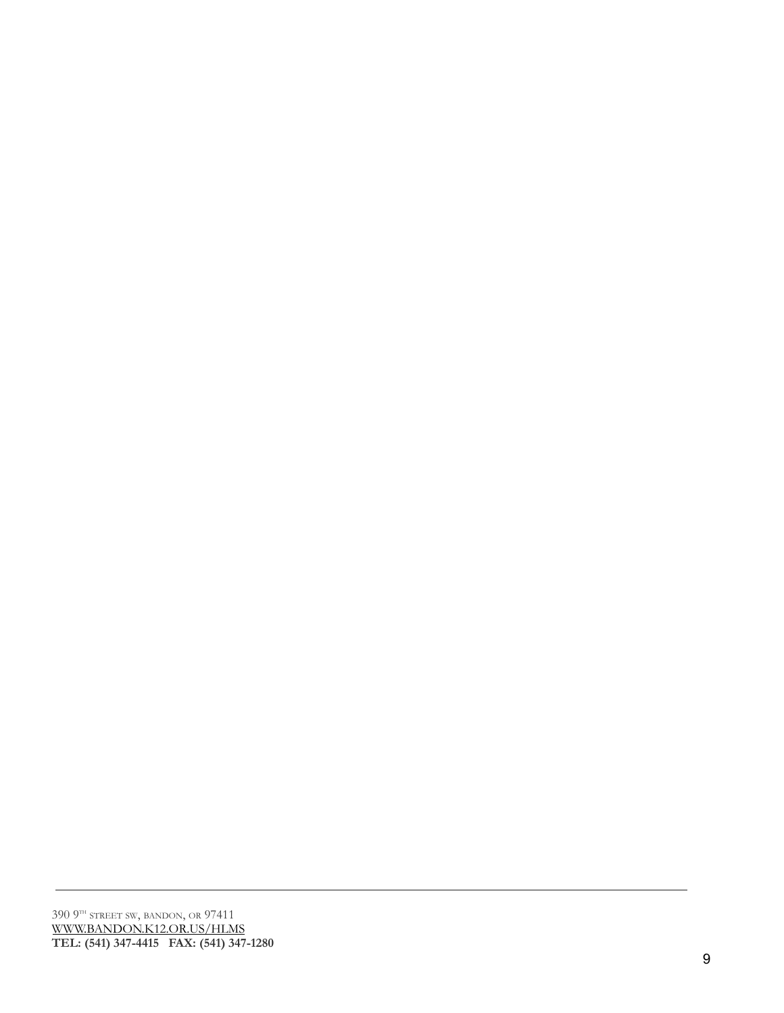390 9TH STREET SW, BANDON, OR 97411 <u>[WWW.B](http://www.bandon.k12.or.us/HLMS)ANDON.K12.OR.US/HLMS</u> TEL: (541) 347-4415 FAX: (541) 347-1280